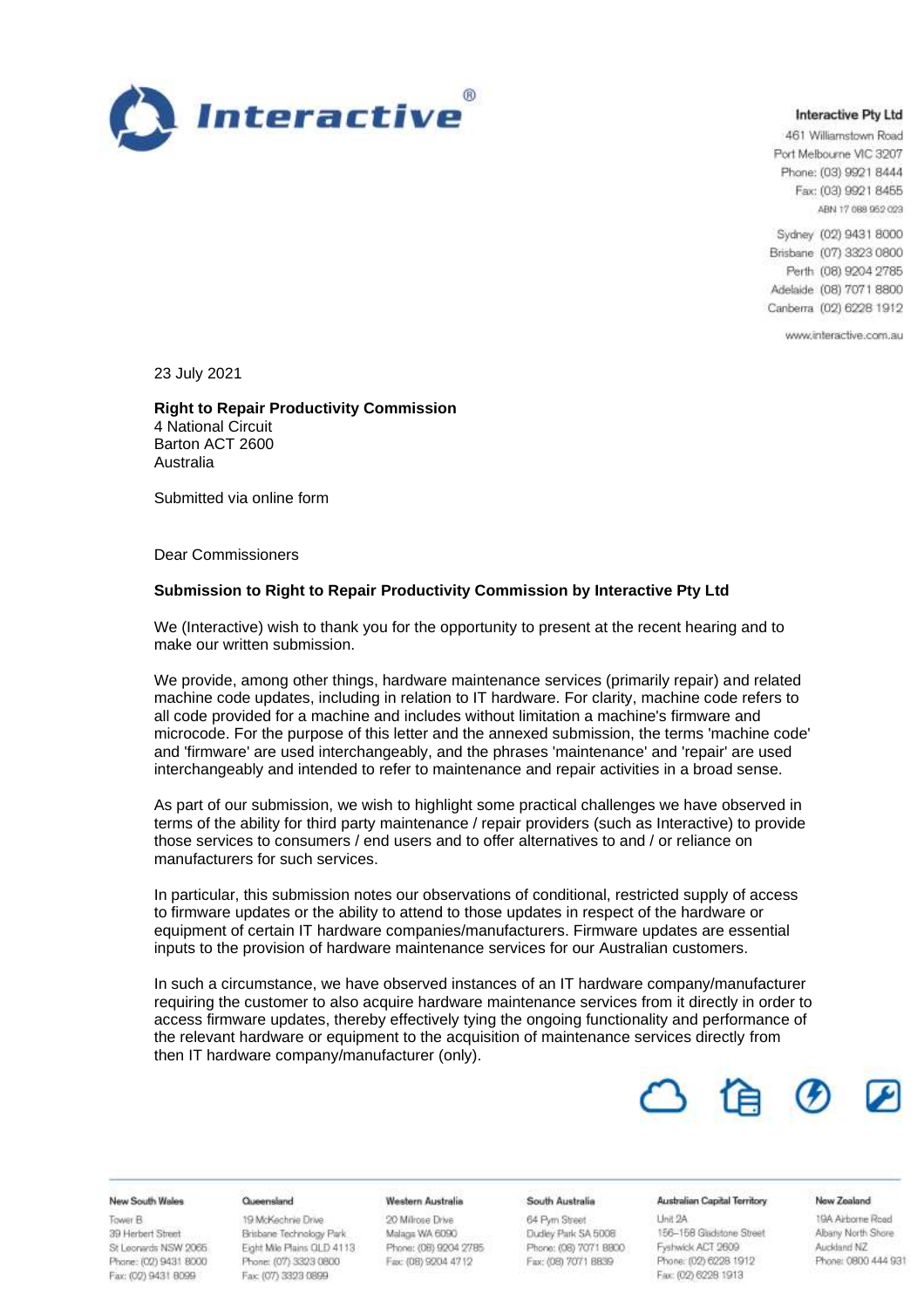

### **Interactive Ptv Ltd**

461 Williamstown Road Port Melbourne VIC 3207 Phone: (03) 9921 8444 Fax: (03) 9921 8455 ABN 17 088 952 023

Sydney (02) 9431 8000 Brisbane (07) 3323 0800 Perth (08) 9204 2785 Adelaide (08) 7071 8800 Canberra (02) 6228 1912

www.interactive.com.au

23 July 2021

**Right to Repair Productivity Commission**  4 National Circuit Barton ACT 2600 Australia

Submitted via online form

Dear Commissioners

### **Submission to Right to Repair Productivity Commission by Interactive Pty Ltd**

We (Interactive) wish to thank you for the opportunity to present at the recent hearing and to make our written submission.

We provide, among other things, hardware maintenance services (primarily repair) and related machine code updates, including in relation to IT hardware. For clarity, machine code refers to all code provided for a machine and includes without limitation a machine's firmware and microcode. For the purpose of this letter and the annexed submission, the terms 'machine code' and 'firmware' are used interchangeably, and the phrases 'maintenance' and 'repair' are used interchangeably and intended to refer to maintenance and repair activities in a broad sense.

As part of our submission, we wish to highlight some practical challenges we have observed in terms of the ability for third party maintenance / repair providers (such as Interactive) to provide those services to consumers / end users and to offer alternatives to and / or reliance on manufacturers for such services.

In particular, this submission notes our observations of conditional, restricted supply of access to firmware updates or the ability to attend to those updates in respect of the hardware or equipment of certain IT hardware companies/manufacturers. Firmware updates are essential inputs to the provision of hardware maintenance services for our Australian customers.

In such a circumstance, we have observed instances of an IT hardware company/manufacturer requiring the customer to also acquire hardware maintenance services from it directly in order to access firmware updates, thereby effectively tying the ongoing functionality and performance of the relevant hardware or equipment to the acquisition of maintenance services directly from then IT hardware company/manufacturer (only).



### New South Wales

Tower B 39 Herbert Street St Leonards NSW 2066 Phone: (02) 9431 8000 Fax: (02) 9431 8099

#### Queensland

19 McKechnie Drive Brisbane Technology Park Eight Mile Plains QLD 4113 Phone: (07) 3323 0800 Fax: (07) 3323 0899

#### **Western Australia**

20 Millrose Drive Malaga WA 6090 Phone: (08) 9204 2785 Fax: (08) 9204 4712

### South Australia 64 Pyrn Street

Unit 2A Dudley Park SA 5008 Phone: (06) 7071 8800 Fax: (08) 7071 8839

#### **Australian Capital Territory**

156-158 Gladstone Street Fyshwick ACT 2609 Phone: (02) 6228 1912 Fax: (02) 6228 1913

#### New Zealand

19A Airborne Road Albany North Shore Auckland NZ Phone: 0800 444 931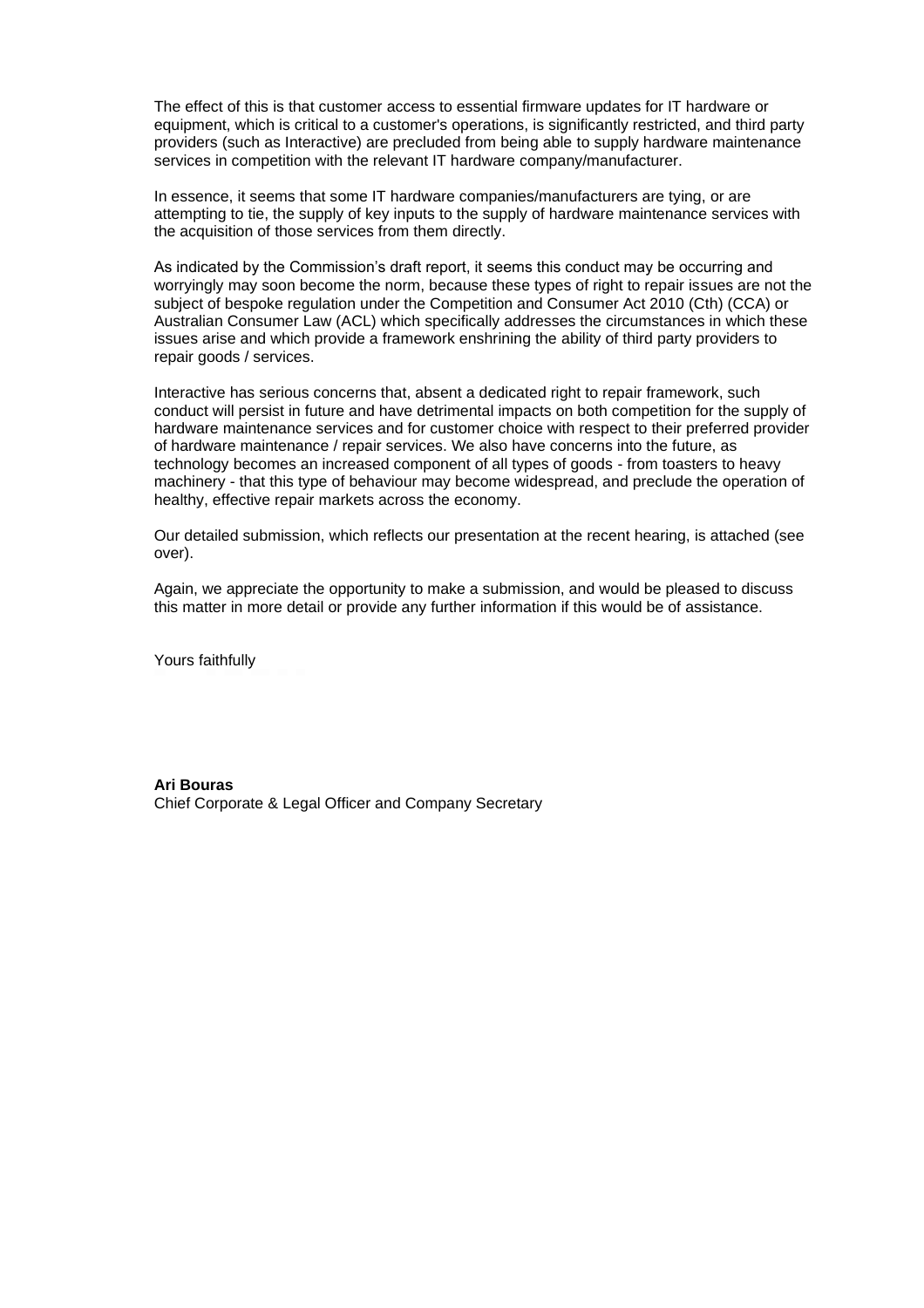The effect of this is that customer access to essential firmware updates for IT hardware or equipment, which is critical to a customer's operations, is significantly restricted, and third party providers (such as Interactive) are precluded from being able to supply hardware maintenance services in competition with the relevant IT hardware company/manufacturer.

In essence, it seems that some IT hardware companies/manufacturers are tying, or are attempting to tie, the supply of key inputs to the supply of hardware maintenance services with the acquisition of those services from them directly.

As indicated by the Commission's draft report, it seems this conduct may be occurring and worryingly may soon become the norm, because these types of right to repair issues are not the subject of bespoke regulation under the Competition and Consumer Act 2010 (Cth) (CCA) or Australian Consumer Law (ACL) which specifically addresses the circumstances in which these issues arise and which provide a framework enshrining the ability of third party providers to repair goods / services.

Interactive has serious concerns that, absent a dedicated right to repair framework, such conduct will persist in future and have detrimental impacts on both competition for the supply of hardware maintenance services and for customer choice with respect to their preferred provider of hardware maintenance / repair services. We also have concerns into the future, as technology becomes an increased component of all types of goods - from toasters to heavy machinery - that this type of behaviour may become widespread, and preclude the operation of healthy, effective repair markets across the economy.

Our detailed submission, which reflects our presentation at the recent hearing, is attached (see over).

Again, we appreciate the opportunity to make a submission, and would be pleased to discuss this matter in more detail or provide any further information if this would be of assistance.

Yours faithfully

### **Ari Bouras**

Chief Corporate & Legal Officer and Company Secretary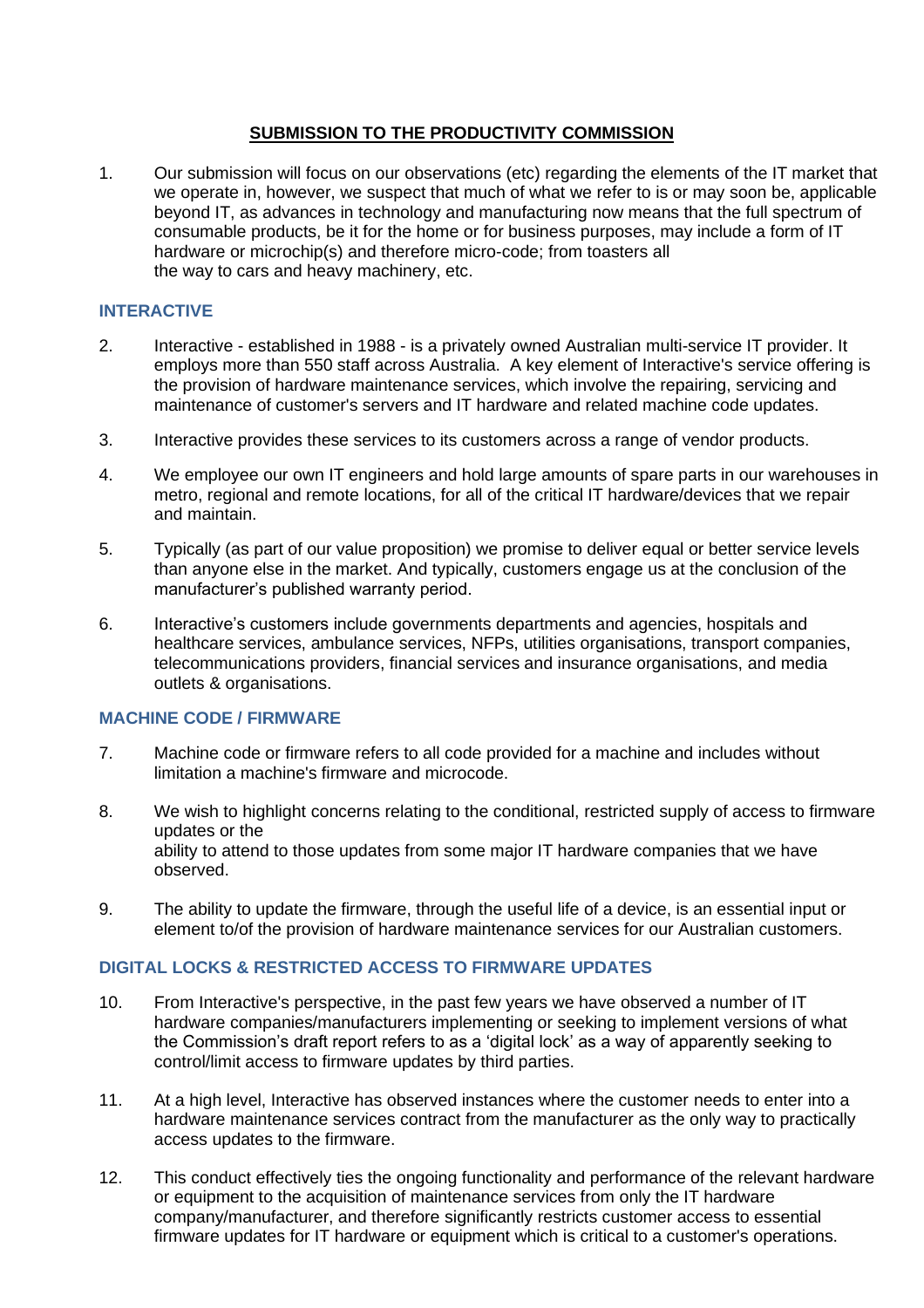# **SUBMISSION TO THE PRODUCTIVITY COMMISSION**

1. Our submission will focus on our observations (etc) regarding the elements of the IT market that we operate in, however, we suspect that much of what we refer to is or may soon be, applicable beyond IT, as advances in technology and manufacturing now means that the full spectrum of consumable products, be it for the home or for business purposes, may include a form of IT hardware or microchip(s) and therefore micro-code; from toasters all the way to cars and heavy machinery, etc.

# **INTERACTIVE**

- 2. Interactive established in 1988 is a privately owned Australian multi-service IT provider. It employs more than 550 staff across Australia. A key element of Interactive's service offering is the provision of hardware maintenance services, which involve the repairing, servicing and maintenance of customer's servers and IT hardware and related machine code updates.
- 3. Interactive provides these services to its customers across a range of vendor products.
- 4. We employee our own IT engineers and hold large amounts of spare parts in our warehouses in metro, regional and remote locations, for all of the critical IT hardware/devices that we repair and maintain.
- 5. Typically (as part of our value proposition) we promise to deliver equal or better service levels than anyone else in the market. And typically, customers engage us at the conclusion of the manufacturer's published warranty period.
- 6. Interactive's customers include governments departments and agencies, hospitals and healthcare services, ambulance services, NFPs, utilities organisations, transport companies, telecommunications providers, financial services and insurance organisations, and media outlets & organisations.

## **MACHINE CODE / FIRMWARE**

- 7. Machine code or firmware refers to all code provided for a machine and includes without limitation a machine's firmware and microcode.
- 8. We wish to highlight concerns relating to the conditional, restricted supply of access to firmware updates or the ability to attend to those updates from some major IT hardware companies that we have observed.
- 9. The ability to update the firmware, through the useful life of a device, is an essential input or element to/of the provision of hardware maintenance services for our Australian customers.

# **DIGITAL LOCKS & RESTRICTED ACCESS TO FIRMWARE UPDATES**

- 10. From Interactive's perspective, in the past few years we have observed a number of IT hardware companies/manufacturers implementing or seeking to implement versions of what the Commission's draft report refers to as a 'digital lock' as a way of apparently seeking to control/limit access to firmware updates by third parties.
- 11. At a high level, Interactive has observed instances where the customer needs to enter into a hardware maintenance services contract from the manufacturer as the only way to practically access updates to the firmware.
- 12. This conduct effectively ties the ongoing functionality and performance of the relevant hardware or equipment to the acquisition of maintenance services from only the IT hardware company/manufacturer, and therefore significantly restricts customer access to essential firmware updates for IT hardware or equipment which is critical to a customer's operations.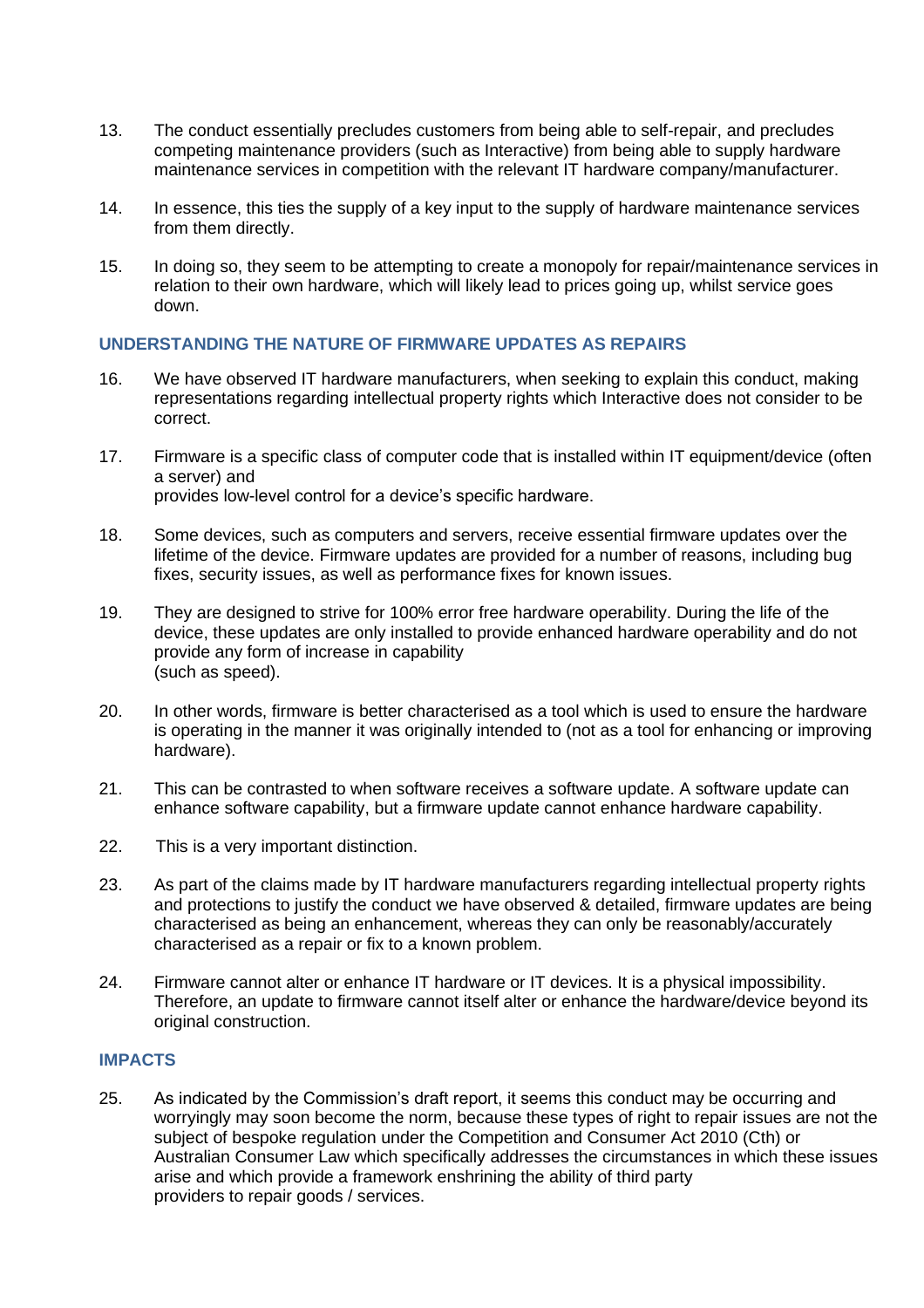- 13. The conduct essentially precludes customers from being able to self-repair, and precludes competing maintenance providers (such as Interactive) from being able to supply hardware maintenance services in competition with the relevant IT hardware company/manufacturer.
- 14. In essence, this ties the supply of a key input to the supply of hardware maintenance services from them directly.
- 15. In doing so, they seem to be attempting to create a monopoly for repair/maintenance services in relation to their own hardware, which will likely lead to prices going up, whilst service goes down.

## **UNDERSTANDING THE NATURE OF FIRMWARE UPDATES AS REPAIRS**

- 16. We have observed IT hardware manufacturers, when seeking to explain this conduct, making representations regarding intellectual property rights which Interactive does not consider to be correct.
- 17. Firmware is a specific class of computer code that is installed within IT equipment/device (often a server) and provides low-level control for a device's specific hardware.
- 18. Some devices, such as computers and servers, receive essential firmware updates over the lifetime of the device. Firmware updates are provided for a number of reasons, including bug fixes, security issues, as well as performance fixes for known issues.
- 19. They are designed to strive for 100% error free hardware operability. During the life of the device, these updates are only installed to provide enhanced hardware operability and do not provide any form of increase in capability (such as speed).
- 20. In other words, firmware is better characterised as a tool which is used to ensure the hardware is operating in the manner it was originally intended to (not as a tool for enhancing or improving hardware).
- 21. This can be contrasted to when software receives a software update. A software update can enhance software capability, but a firmware update cannot enhance hardware capability.
- 22. This is a very important distinction.
- 23. As part of the claims made by IT hardware manufacturers regarding intellectual property rights and protections to justify the conduct we have observed & detailed, firmware updates are being characterised as being an enhancement, whereas they can only be reasonably/accurately characterised as a repair or fix to a known problem.
- 24. Firmware cannot alter or enhance IT hardware or IT devices. It is a physical impossibility. Therefore, an update to firmware cannot itself alter or enhance the hardware/device beyond its original construction.

### **IMPACTS**

25. As indicated by the Commission's draft report, it seems this conduct may be occurring and worryingly may soon become the norm, because these types of right to repair issues are not the subject of bespoke regulation under the Competition and Consumer Act 2010 (Cth) or Australian Consumer Law which specifically addresses the circumstances in which these issues arise and which provide a framework enshrining the ability of third party providers to repair goods / services.